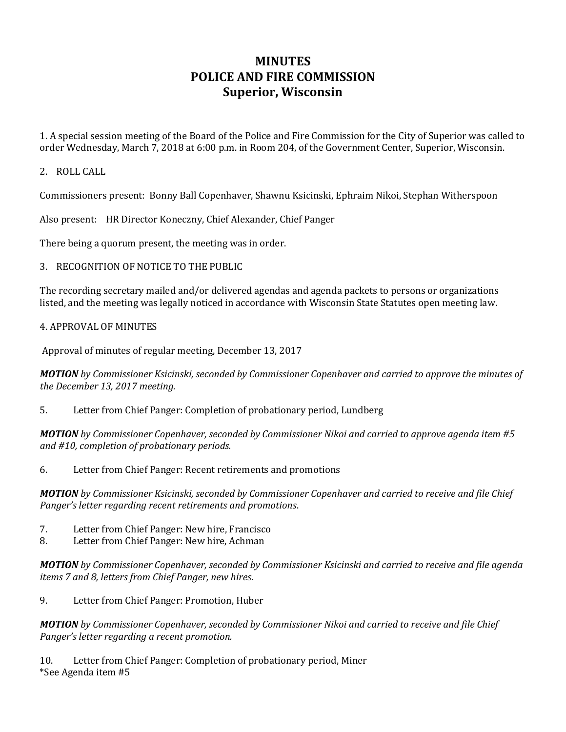# **MINUTES POLICE AND FIRE COMMISSION Superior, Wisconsin**

1. A special session meeting of the Board of the Police and Fire Commission for the City of Superior was called to order Wednesday, March 7, 2018 at 6:00 p.m. in Room 204, of the Government Center, Superior, Wisconsin.

#### 2. ROLL CALL

Commissioners present: Bonny Ball Copenhaver, Shawnu Ksicinski, Ephraim Nikoi, Stephan Witherspoon

Also present: HR Director Koneczny, Chief Alexander, Chief Panger

There being a quorum present, the meeting was in order.

### 3. RECOGNITION OF NOTICE TO THE PUBLIC

The recording secretary mailed and/or delivered agendas and agenda packets to persons or organizations listed, and the meeting was legally noticed in accordance with Wisconsin State Statutes open meeting law.

#### 4. APPROVAL OF MINUTES

Approval of minutes of regular meeting, December 13, 2017

*MOTION by Commissioner Ksicinski, seconded by Commissioner Copenhaver and carried to approve the minutes of the December 13, 2017 meeting.* 

5. Letter from Chief Panger: Completion of probationary period, Lundberg

*MOTION by Commissioner Copenhaver, seconded by Commissioner Nikoi and carried to approve agenda item #5 and #10, completion of probationary periods.* 

6. Letter from Chief Panger: Recent retirements and promotions

*MOTION by Commissioner Ksicinski, seconded by Commissioner Copenhaver and carried to receive and file Chief Panger's letter regarding recent retirements and promotions*.

- 7. Letter from Chief Panger: New hire, Francisco
- 8. Letter from Chief Panger: New hire, Achman

*MOTION by Commissioner Copenhaver, seconded by Commissioner Ksicinski and carried to receive and file agenda items 7 and 8, letters from Chief Panger, new hires*.

9. Letter from Chief Panger: Promotion, Huber

*MOTION by Commissioner Copenhaver, seconded by Commissioner Nikoi and carried to receive and file Chief Panger's letter regarding a recent promotion.*

10. Letter from Chief Panger: Completion of probationary period, Miner \*See Agenda item #5